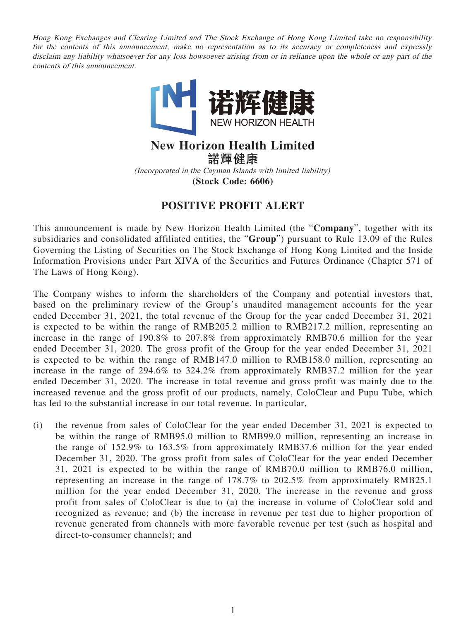Hong Kong Exchanges and Clearing Limited and The Stock Exchange of Hong Kong Limited take no responsibility for the contents of this announcement, make no representation as to its accuracy or completeness and expressly disclaim any liability whatsoever for any loss howsoever arising from or in reliance upon the whole or any part of the contents of this announcement.



## **New Horizon Health Limited**

**諾輝健康**

(Incorporated in the Cayman Islands with limited liability) **(Stock Code: 6606)**

## **POSITIVE PROFIT ALERT**

This announcement is made by New Horizon Health Limited (the "**Company**", together with its subsidiaries and consolidated affiliated entities, the "**Group**") pursuant to Rule 13.09 of the Rules Governing the Listing of Securities on The Stock Exchange of Hong Kong Limited and the Inside Information Provisions under Part XIVA of the Securities and Futures Ordinance (Chapter 571 of The Laws of Hong Kong).

The Company wishes to inform the shareholders of the Company and potential investors that, based on the preliminary review of the Group's unaudited management accounts for the year ended December 31, 2021, the total revenue of the Group for the year ended December 31, 2021 is expected to be within the range of RMB205.2 million to RMB217.2 million, representing an increase in the range of 190.8% to 207.8% from approximately RMB70.6 million for the year ended December 31, 2020. The gross profit of the Group for the year ended December 31, 2021 is expected to be within the range of RMB147.0 million to RMB158.0 million, representing an increase in the range of 294.6% to 324.2% from approximately RMB37.2 million for the year ended December 31, 2020. The increase in total revenue and gross profit was mainly due to the increased revenue and the gross profit of our products, namely, ColoClear and Pupu Tube, which has led to the substantial increase in our total revenue. In particular,

(i) the revenue from sales of ColoClear for the year ended December 31, 2021 is expected to be within the range of RMB95.0 million to RMB99.0 million, representing an increase in the range of 152.9% to 163.5% from approximately RMB37.6 million for the year ended December 31, 2020. The gross profit from sales of ColoClear for the year ended December 31, 2021 is expected to be within the range of RMB70.0 million to RMB76.0 million, representing an increase in the range of 178.7% to 202.5% from approximately RMB25.1 million for the year ended December 31, 2020. The increase in the revenue and gross profit from sales of ColoClear is due to (a) the increase in volume of ColoClear sold and recognized as revenue; and (b) the increase in revenue per test due to higher proportion of revenue generated from channels with more favorable revenue per test (such as hospital and direct-to-consumer channels); and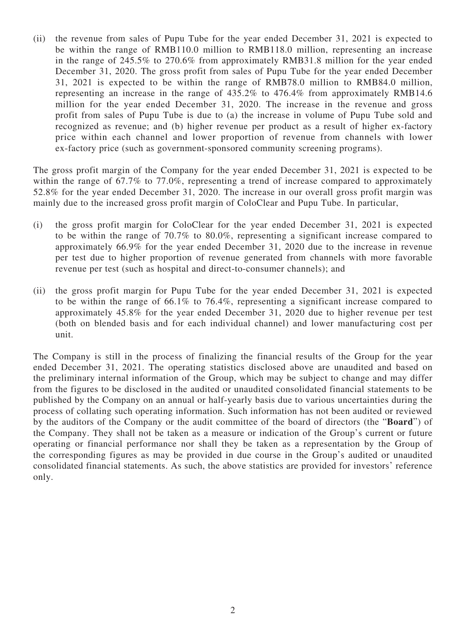(ii) the revenue from sales of Pupu Tube for the year ended December 31, 2021 is expected to be within the range of RMB110.0 million to RMB118.0 million, representing an increase in the range of 245.5% to 270.6% from approximately RMB31.8 million for the year ended December 31, 2020. The gross profit from sales of Pupu Tube for the year ended December 31, 2021 is expected to be within the range of RMB78.0 million to RMB84.0 million, representing an increase in the range of 435.2% to 476.4% from approximately RMB14.6 million for the year ended December 31, 2020. The increase in the revenue and gross profit from sales of Pupu Tube is due to (a) the increase in volume of Pupu Tube sold and recognized as revenue; and (b) higher revenue per product as a result of higher ex-factory price within each channel and lower proportion of revenue from channels with lower ex-factory price (such as government-sponsored community screening programs).

The gross profit margin of the Company for the year ended December 31, 2021 is expected to be within the range of 67.7% to 77.0%, representing a trend of increase compared to approximately 52.8% for the year ended December 31, 2020. The increase in our overall gross profit margin was mainly due to the increased gross profit margin of ColoClear and Pupu Tube. In particular,

- (i) the gross profit margin for ColoClear for the year ended December 31, 2021 is expected to be within the range of 70.7% to 80.0%, representing a significant increase compared to approximately 66.9% for the year ended December 31, 2020 due to the increase in revenue per test due to higher proportion of revenue generated from channels with more favorable revenue per test (such as hospital and direct-to-consumer channels); and
- (ii) the gross profit margin for Pupu Tube for the year ended December 31, 2021 is expected to be within the range of 66.1% to 76.4%, representing a significant increase compared to approximately 45.8% for the year ended December 31, 2020 due to higher revenue per test (both on blended basis and for each individual channel) and lower manufacturing cost per unit.

The Company is still in the process of finalizing the financial results of the Group for the year ended December 31, 2021. The operating statistics disclosed above are unaudited and based on the preliminary internal information of the Group, which may be subject to change and may differ from the figures to be disclosed in the audited or unaudited consolidated financial statements to be published by the Company on an annual or half-yearly basis due to various uncertainties during the process of collating such operating information. Such information has not been audited or reviewed by the auditors of the Company or the audit committee of the board of directors (the "**Board**") of the Company. They shall not be taken as a measure or indication of the Group's current or future operating or financial performance nor shall they be taken as a representation by the Group of the corresponding figures as may be provided in due course in the Group's audited or unaudited consolidated financial statements. As such, the above statistics are provided for investors' reference only.